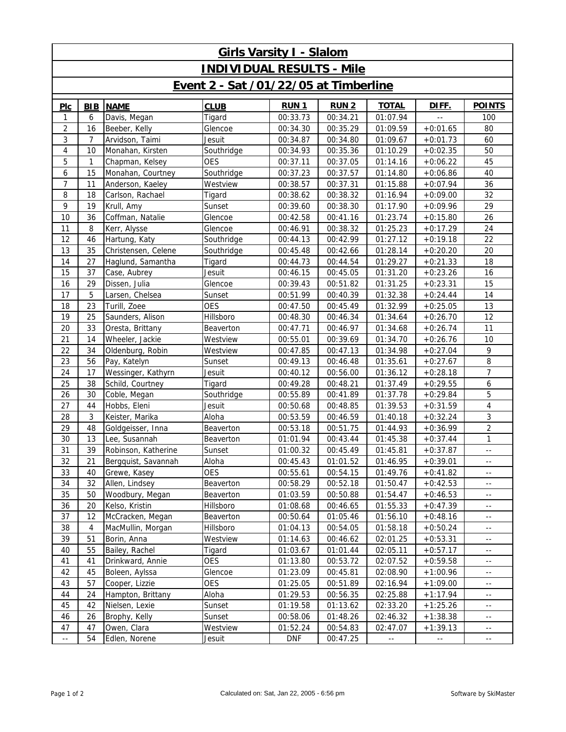| <b>Girls Varsity I - Slalom</b>                                           |                |                     |            |            |          |          |            |                          |  |  |  |  |
|---------------------------------------------------------------------------|----------------|---------------------|------------|------------|----------|----------|------------|--------------------------|--|--|--|--|
| <b>INDIVIDUAL RESULTS - Mile</b><br>Event 2 - Sat /01/22/05 at Timberline |                |                     |            |            |          |          |            |                          |  |  |  |  |
|                                                                           |                |                     |            |            |          |          |            |                          |  |  |  |  |
| $\mathbf{1}$                                                              | 6              | Davis, Megan        | Tigard     | 00:33.73   | 00:34.21 | 01:07.94 |            | 100                      |  |  |  |  |
| $\sqrt{2}$                                                                | 16             | Beeber, Kelly       | Glencoe    | 00:34.30   | 00:35.29 | 01:09.59 | $+0:01.65$ | 80                       |  |  |  |  |
| 3                                                                         | $\overline{7}$ | Arvidson, Taimi     | Jesuit     | 00:34.87   | 00:34.80 | 01:09.67 | $+0:01.73$ | 60                       |  |  |  |  |
| 4                                                                         | 10             | Monahan, Kirsten    | Southridge | 00:34.93   | 00:35.36 | 01:10.29 | $+0:02.35$ | 50                       |  |  |  |  |
| 5                                                                         | $\mathbf{1}$   | Chapman, Kelsey     | <b>OES</b> | 00:37.11   | 00:37.05 | 01:14.16 | $+0:06.22$ | 45                       |  |  |  |  |
| 6                                                                         | 15             | Monahan, Courtney   | Southridge | 00:37.23   | 00:37.57 | 01:14.80 | $+0:06.86$ | 40                       |  |  |  |  |
| $\overline{7}$                                                            | 11             | Anderson, Kaeley    | Westview   | 00:38.57   | 00:37.31 | 01:15.88 | $+0:07.94$ | 36                       |  |  |  |  |
| 8                                                                         | 18             | Carlson, Rachael    | Tigard     | 00:38.62   | 00:38.32 | 01:16.94 | $+0:09.00$ | 32                       |  |  |  |  |
| 9                                                                         | 19             | Krull, Amy          | Sunset     | 00:39.60   | 00:38.30 | 01:17.90 | $+0:09.96$ | 29                       |  |  |  |  |
| 10                                                                        | 36             | Coffman, Natalie    | Glencoe    | 00:42.58   | 00:41.16 | 01:23.74 | $+0:15.80$ | 26                       |  |  |  |  |
| 11                                                                        | 8              | Kerr, Alysse        | Glencoe    | 00:46.91   | 00:38.32 | 01:25.23 | $+0:17.29$ | 24                       |  |  |  |  |
| 12                                                                        | 46             | Hartung, Katy       | Southridge | 00:44.13   | 00:42.99 | 01:27.12 | $+0:19.18$ | 22                       |  |  |  |  |
| 13                                                                        | 35             | Christensen, Celene | Southridge | 00:45.48   | 00:42.66 | 01:28.14 | $+0:20.20$ | 20                       |  |  |  |  |
| 14                                                                        | 27             | Haglund, Samantha   | Tigard     | 00:44.73   | 00:44.54 | 01:29.27 | $+0:21.33$ | 18                       |  |  |  |  |
| 15                                                                        | 37             | Case, Aubrey        | Jesuit     | 00:46.15   | 00:45.05 | 01:31.20 | $+0:23.26$ | 16                       |  |  |  |  |
| 16                                                                        | 29             | Dissen, Julia       | Glencoe    | 00:39.43   | 00:51.82 | 01:31.25 | $+0:23.31$ | 15                       |  |  |  |  |
| 17                                                                        | 5              | Larsen, Chelsea     | Sunset     | 00:51.99   | 00:40.39 | 01:32.38 | $+0:24.44$ | 14                       |  |  |  |  |
| 18                                                                        | 23             | Turill, Zoee        | <b>OES</b> | 00:47.50   | 00:45.49 | 01:32.99 | $+0:25.05$ | 13                       |  |  |  |  |
| 19                                                                        | 25             | Saunders, Alison    | Hillsboro  | 00:48.30   | 00:46.34 | 01:34.64 | $+0:26.70$ | 12                       |  |  |  |  |
| 20                                                                        | 33             | Oresta, Brittany    | Beaverton  | 00:47.71   | 00:46.97 | 01:34.68 | $+0:26.74$ | 11                       |  |  |  |  |
| 21                                                                        | 14             | Wheeler, Jackie     | Westview   | 00:55.01   | 00:39.69 | 01:34.70 | $+0:26.76$ | 10                       |  |  |  |  |
| 22                                                                        | 34             | Oldenburg, Robin    | Westview   | 00:47.85   | 00:47.13 | 01:34.98 | $+0:27.04$ | 9                        |  |  |  |  |
| 23                                                                        | 56             | Pay, Katelyn        | Sunset     | 00:49.13   | 00:46.48 | 01:35.61 | $+0:27.67$ | 8                        |  |  |  |  |
| 24                                                                        | 17             | Wessinger, Kathyrn  | Jesuit     | 00:40.12   | 00:56.00 | 01:36.12 | $+0:28.18$ | $\overline{7}$           |  |  |  |  |
| 25                                                                        | 38             | Schild, Courtney    | Tigard     | 00:49.28   | 00:48.21 | 01:37.49 | $+0:29.55$ | 6                        |  |  |  |  |
| 26                                                                        | 30             | Coble, Megan        | Southridge | 00:55.89   | 00:41.89 | 01:37.78 | $+0:29.84$ | 5                        |  |  |  |  |
| 27                                                                        | 44             | Hobbs, Eleni        | Jesuit     | 00:50.68   | 00:48.85 | 01:39.53 | $+0:31.59$ | $\overline{4}$           |  |  |  |  |
| 28                                                                        | 3              | Keister, Marika     | Aloha      | 00:53.59   | 00:46.59 | 01:40.18 | $+0:32.24$ | $\mathfrak{Z}$           |  |  |  |  |
| 29                                                                        | 48             | Goldgeisser, Inna   | Beaverton  | 00:53.18   | 00:51.75 | 01:44.93 | $+0:36.99$ | $\overline{2}$           |  |  |  |  |
| 30                                                                        | 13             | Lee, Susannah       | Beaverton  | 01:01.94   | 00:43.44 | 01:45.38 | $+0:37.44$ | $\mathbf{1}$             |  |  |  |  |
| 31                                                                        | 39             | Robinson, Katherine | Sunset     | 01:00.32   | 00:45.49 | 01:45.81 | $+0:37.87$ | $\sim$ $\sim$            |  |  |  |  |
| 32                                                                        | 21             | Bergquist, Savannah | Aloha      | 00:45.43   | 01:01.52 | 01:46.95 | $+0:39.01$ | $\sim$ $-$               |  |  |  |  |
| 33                                                                        | 40             | Grewe, Kasey        | <b>OES</b> | 00:55.61   | 00:54.15 | 01:49.76 | $+0:41.82$ | $\overline{\phantom{a}}$ |  |  |  |  |
| 34                                                                        | 32             | Allen, Lindsey      | Beaverton  | 00:58.29   | 00:52.18 | 01:50.47 | $+0:42.53$ | 44                       |  |  |  |  |
| 35                                                                        | 50             | Woodbury, Megan     | Beaverton  | 01:03.59   | 00:50.88 | 01:54.47 | $+0:46.53$ | $-$                      |  |  |  |  |
| 36                                                                        | 20             | Kelso, Kristin      | Hillsboro  | 01:08.68   | 00:46.65 | 01:55.33 | $+0:47.39$ | $\overline{a}$           |  |  |  |  |
| 37                                                                        | 12             | McCracken, Megan    | Beaverton  | 00:50.64   | 01:05.46 | 01:56.10 | $+0:48.16$ | $- -$                    |  |  |  |  |
| 38                                                                        | 4              | MacMullin, Morgan   | Hillsboro  | 01:04.13   | 00:54.05 | 01:58.18 | $+0:50.24$ | $\overline{a}$           |  |  |  |  |
| 39                                                                        | 51             | Borin, Anna         | Westview   | 01:14.63   | 00:46.62 | 02:01.25 | $+0:53.31$ | $\sim$ $-$               |  |  |  |  |
| 40                                                                        | 55             | Bailey, Rachel      | Tigard     | 01:03.67   | 01:01.44 | 02:05.11 | $+0:57.17$ | $- -$                    |  |  |  |  |
| 41                                                                        | 41             | Drinkward, Annie    | <b>OES</b> | 01:13.80   | 00:53.72 | 02:07.52 | $+0.59.58$ | $\overline{a}$           |  |  |  |  |
| 42                                                                        | 45             | Boleen, Aylssa      | Glencoe    | 01:23.09   | 00:45.81 | 02:08.90 | $+1:00.96$ | $\sim$ $-$               |  |  |  |  |
| 43                                                                        | 57             | Cooper, Lizzie      | <b>OES</b> | 01:25.05   | 00:51.89 | 02:16.94 | $+1:09.00$ | $- -$                    |  |  |  |  |
| 44                                                                        | 24             | Hampton, Brittany   | Aloha      | 01:29.53   | 00:56.35 | 02:25.88 | $+1:17.94$ | $\overline{a}$           |  |  |  |  |
| 45                                                                        | 42             | Nielsen, Lexie      | Sunset     | 01:19.58   | 01:13.62 | 02:33.20 | $+1:25.26$ | 44                       |  |  |  |  |
| 46                                                                        | 26             | Brophy, Kelly       | Sunset     | 00:58.06   | 01:48.26 | 02:46.32 | $+1:38.38$ | $\sim$ $-$               |  |  |  |  |
| 47                                                                        | 47             | Owen, Clara         | Westview   | 01:52.24   | 00:54.83 | 02:47.07 | $+1:39.13$ | $\sim$ $-$               |  |  |  |  |
|                                                                           | 54             | Edlen, Norene       | Jesuit     | <b>DNF</b> | 00:47.25 |          |            |                          |  |  |  |  |